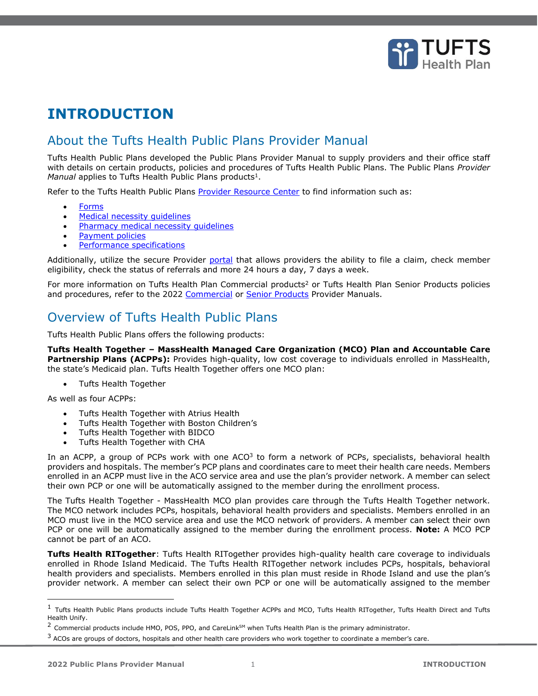

## **INTRODUCTION**

## About the Tufts Health Public Plans Provider Manual

Tufts Health Public Plans developed the Public Plans Provider Manual to supply providers and their office staff with details on certain products, policies and procedures of Tufts Health Public Plans. The Public Plans *Provider*  Manual applies to Tufts Health Public Plans products<sup>1</sup>.

Refer to the Tufts Health Public Plans [Provider Resource Center](https://tuftshealthplan.com/provider/resource-center/resource-center#?d=1a41c0|39dfde|845238|401109|c32f08) to find information such as:

- [Forms](https://tuftshealthplan.com/provider/resource-center/resource-center#?d=1a41c0|39dfde|845238|401109|c32f08&c=7cd43b|af0445|660e61|c41c68|607a71|ef359c|7b76da|abd4b3|4c858b|1b3a55|0ab665)
- [Medical necessity guidelines](https://tuftshealthplan.com/provider/resource-center/resource-center#?d=1a41c0|39dfde|845238|401109|c32f08&c=4e895e)
- Pharmacy medical necessity quidelines
- [Payment policies](https://tuftshealthplan.com/provider/resource-center/resource-center#?d=1a41c0|39dfde|845238|401109|c32f08&c=bfdf66)
- Performance specifications

Additionally, utilize the secure Provider [portal](https://tuftshealthplan.com/login) that allows providers the ability to file a claim, check member eligibility, check the status of referrals and more 24 hours a day, 7 days a week.

For more information on Tufts Health Plan Commercial products<sup>2</sup> or Tufts Health Plan Senior Products policies and procedures, refer to the 2022 [Commercial](https://tuftshealthplan.com/documents/providers/provider-manuals/comm-provider-manual) or [Senior Products](https://tuftshealthplan.com/documents/providers/provider-manuals/sp-provider-manual) Provider Manuals.

## Overview of Tufts Health Public Plans

Tufts Health Public Plans offers the following products:

**Tufts Health Together – MassHealth Managed Care Organization (MCO) Plan and Accountable Care Partnership Plans (ACPPs):** Provides high-quality, low cost coverage to individuals enrolled in MassHealth, the state's Medicaid plan. Tufts Health Together offers one MCO plan:

• Tufts Health Together

As well as four ACPPs:

- Tufts Health Together with Atrius Health
- Tufts Health Together with Boston Children's
- Tufts Health Together with BIDCO
- Tufts Health Together with CHA

In an ACPP, a group of PCPs work with one ACO<sup>3</sup> to form a network of PCPs, specialists, behavioral health providers and hospitals. The member's PCP plans and coordinates care to meet their health care needs. Members enrolled in an ACPP must live in the ACO service area and use the plan's provider network. A member can select their own PCP or one will be automatically assigned to the member during the enrollment process.

The Tufts Health Together - MassHealth MCO plan provides care through the Tufts Health Together network. The MCO network includes PCPs, hospitals, behavioral health providers and specialists. Members enrolled in an MCO must live in the MCO service area and use the MCO network of providers. A member can select their own PCP or one will be automatically assigned to the member during the enrollment process. **Note:** A MCO PCP cannot be part of an ACO.

**Tufts Health RITogether**: Tufts Health RITogether provides high-quality health care coverage to individuals enrolled in Rhode Island Medicaid. The Tufts Health RITogether network includes PCPs, hospitals, behavioral health providers and specialists. Members enrolled in this plan must reside in Rhode Island and use the plan's provider network. A member can select their own PCP or one will be automatically assigned to the member

 $^1$  Tufts Health Public Plans products include Tufts Health Together ACPPs and MCO, Tufts Health RITogether, Tufts Health Direct and Tufts Health Unify.

 $2$  Commercial products include HMO, POS, PPO, and CareLinkSM when Tufts Health Plan is the primary administrator.

<sup>&</sup>lt;sup>3</sup> ACOs are groups of doctors, hospitals and other health care providers who work together to coordinate a member's care.